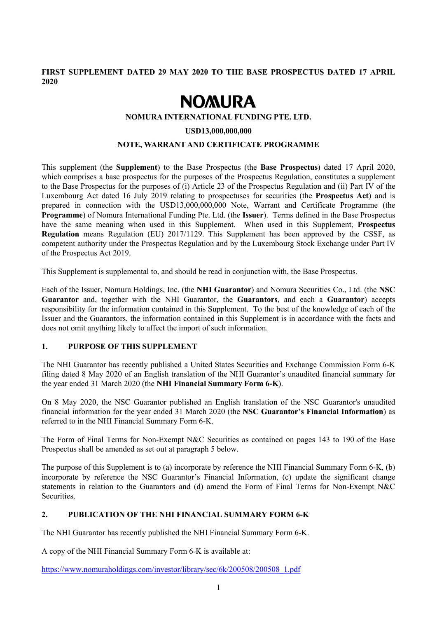**FIRST SUPPLEMENT DATED 29 MAY 2020 TO THE BASE PROSPECTUS DATED 17 APRIL 2020** 

# **NOMURA**

#### **NOMURA INTERNATIONAL FUNDING PTE. LTD.**

#### **USD13,000,000,000**

#### **NOTE, WARRANT AND CERTIFICATE PROGRAMME**

This supplement (the **Supplement**) to the Base Prospectus (the **Base Prospectus**) dated 17 April 2020, which comprises a base prospectus for the purposes of the Prospectus Regulation, constitutes a supplement to the Base Prospectus for the purposes of (i) Article 23 of the Prospectus Regulation and (ii) Part IV of the Luxembourg Act dated 16 July 2019 relating to prospectuses for securities (the **Prospectus Act**) and is prepared in connection with the USD13,000,000,000 Note, Warrant and Certificate Programme (the **Programme**) of Nomura International Funding Pte. Ltd. (the **Issuer**). Terms defined in the Base Prospectus have the same meaning when used in this Supplement. When used in this Supplement, **Prospectus Regulation** means Regulation (EU) 2017/1129. This Supplement has been approved by the CSSF, as competent authority under the Prospectus Regulation and by the Luxembourg Stock Exchange under Part IV of the Prospectus Act 2019.

This Supplement is supplemental to, and should be read in conjunction with, the Base Prospectus.

Each of the Issuer, Nomura Holdings, Inc. (the **NHI Guarantor**) and Nomura Securities Co., Ltd. (the **NSC Guarantor** and, together with the NHI Guarantor, the **Guarantors**, and each a **Guarantor**) accepts responsibility for the information contained in this Supplement. To the best of the knowledge of each of the Issuer and the Guarantors, the information contained in this Supplement is in accordance with the facts and does not omit anything likely to affect the import of such information.

#### **1. PURPOSE OF THIS SUPPLEMENT**

The NHI Guarantor has recently published a United States Securities and Exchange Commission Form 6-K filing dated 8 May 2020 of an English translation of the NHI Guarantor's unaudited financial summary for the year ended 31 March 2020 (the **NHI Financial Summary Form 6-K**).

On 8 May 2020, the NSC Guarantor published an English translation of the NSC Guarantor's unaudited financial information for the year ended 31 March 2020 (the **NSC Guarantor's Financial Information**) as referred to in the NHI Financial Summary Form 6-K.

The Form of Final Terms for Non-Exempt N&C Securities as contained on pages 143 to 190 of the Base Prospectus shall be amended as set out at paragraph 5 below.

The purpose of this Supplement is to (a) incorporate by reference the NHI Financial Summary Form 6-K, (b) incorporate by reference the NSC Guarantor's Financial Information, (c) update the significant change statements in relation to the Guarantors and (d) amend the Form of Final Terms for Non-Exempt N&C Securities.

# **2. PUBLICATION OF THE NHI FINANCIAL SUMMARY FORM 6-K**

The NHI Guarantor has recently published the NHI Financial Summary Form 6-K.

A copy of the NHI Financial Summary Form 6-K is available at:

https://www.nomuraholdings.com/investor/library/sec/6k/200508/200508\_1.pdf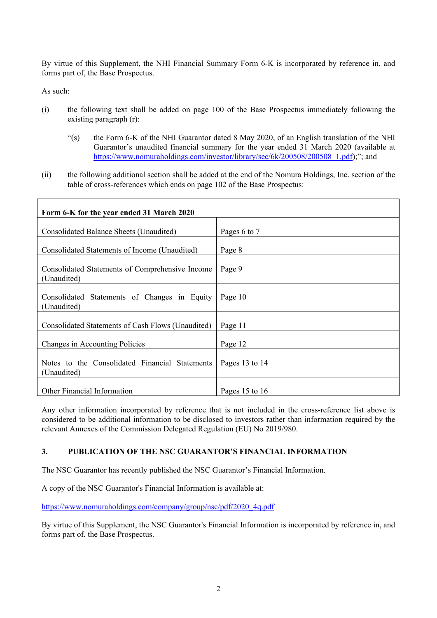By virtue of this Supplement, the NHI Financial Summary Form 6-K is incorporated by reference in, and forms part of, the Base Prospectus.

As such:

- (i) the following text shall be added on page 100 of the Base Prospectus immediately following the existing paragraph (r):
	- "(s) the Form 6-K of the NHI Guarantor dated 8 May 2020, of an English translation of the NHI Guarantor's unaudited financial summary for the year ended 31 March 2020 (available at https://www.nomuraholdings.com/investor/library/sec/6k/200508/200508\_1.pdf);"; and
- (ii) the following additional section shall be added at the end of the Nomura Holdings, Inc. section of the table of cross-references which ends on page 102 of the Base Prospectus:

| Form 6-K for the year ended 31 March 2020                      |                |
|----------------------------------------------------------------|----------------|
| Consolidated Balance Sheets (Unaudited)                        | Pages 6 to 7   |
| Consolidated Statements of Income (Unaudited)                  | Page 8         |
| Consolidated Statements of Comprehensive Income<br>(Unaudited) | Page 9         |
| Consolidated Statements of Changes in Equity<br>(Unaudited)    | Page 10        |
| Consolidated Statements of Cash Flows (Unaudited)              | Page 11        |
| Changes in Accounting Policies                                 | Page 12        |
| Notes to the Consolidated Financial Statements<br>(Unaudited)  | Pages 13 to 14 |
| Other Financial Information                                    | Pages 15 to 16 |

Any other information incorporated by reference that is not included in the cross-reference list above is considered to be additional information to be disclosed to investors rather than information required by the relevant Annexes of the Commission Delegated Regulation (EU) No 2019/980.

#### **3. PUBLICATION OF THE NSC GUARANTOR'S FINANCIAL INFORMATION**

The NSC Guarantor has recently published the NSC Guarantor's Financial Information.

A copy of the NSC Guarantor's Financial Information is available at:

https://www.nomuraholdings.com/company/group/nsc/pdf/2020\_4q.pdf

By virtue of this Supplement, the NSC Guarantor's Financial Information is incorporated by reference in, and forms part of, the Base Prospectus.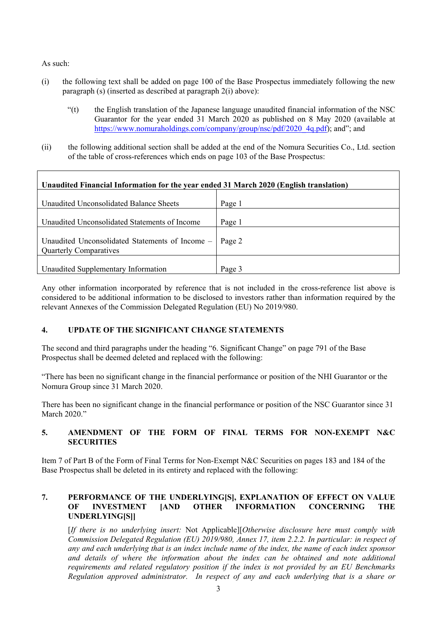As such:

- (i) the following text shall be added on page 100 of the Base Prospectus immediately following the new paragraph (s) (inserted as described at paragraph 2(i) above):
	- "(t) the English translation of the Japanese language unaudited financial information of the NSC Guarantor for the year ended 31 March 2020 as published on 8 May 2020 (available at https://www.nomuraholdings.com/company/group/nsc/pdf/2020\_4q.pdf); and"; and
- (ii) the following additional section shall be added at the end of the Nomura Securities Co., Ltd. section of the table of cross-references which ends on page 103 of the Base Prospectus:

| Unaudited Financial Information for the year ended 31 March 2020 (English translation) |        |
|----------------------------------------------------------------------------------------|--------|
| Unaudited Unconsolidated Balance Sheets                                                | Page 1 |
| Unaudited Unconsolidated Statements of Income                                          | Page 1 |
| Unaudited Unconsolidated Statements of Income -<br><b>Quarterly Comparatives</b>       | Page 2 |
| Unaudited Supplementary Information                                                    | Page 3 |

Any other information incorporated by reference that is not included in the cross-reference list above is considered to be additional information to be disclosed to investors rather than information required by the relevant Annexes of the Commission Delegated Regulation (EU) No 2019/980.

# **4. UPDATE OF THE SIGNIFICANT CHANGE STATEMENTS**

The second and third paragraphs under the heading "6. Significant Change" on page 791 of the Base Prospectus shall be deemed deleted and replaced with the following:

"There has been no significant change in the financial performance or position of the NHI Guarantor or the Nomura Group since 31 March 2020.

There has been no significant change in the financial performance or position of the NSC Guarantor since 31 March 2020."

# **5. AMENDMENT OF THE FORM OF FINAL TERMS FOR NON-EXEMPT N&C SECURITIES**

Item 7 of Part B of the Form of Final Terms for Non-Exempt N&C Securities on pages 183 and 184 of the Base Prospectus shall be deleted in its entirety and replaced with the following:

# **7. PERFORMANCE OF THE UNDERLYING[S], EXPLANATION OF EFFECT ON VALUE OF INVESTMENT [AND OTHER INFORMATION CONCERNING THE UNDERLYING[S]]**

[*If there is no underlying insert:* Not Applicable][*Otherwise disclosure here must comply with Commission Delegated Regulation (EU) 2019/980, Annex 17, item 2.2.2. In particular: in respect of any and each underlying that is an index include name of the index, the name of each index sponsor and details of where the information about the index can be obtained and note additional requirements and related regulatory position if the index is not provided by an EU Benchmarks Regulation approved administrator. In respect of any and each underlying that is a share or*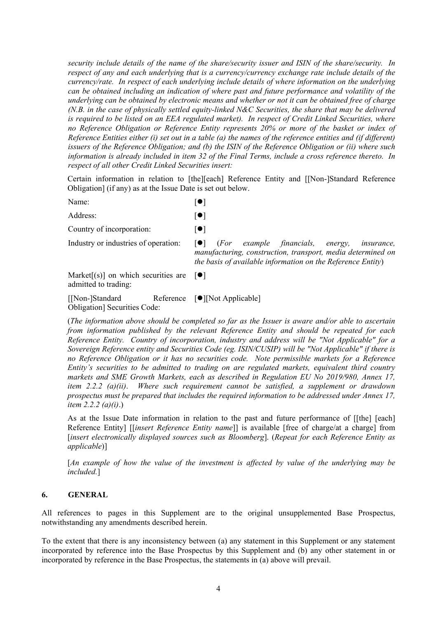*security include details of the name of the share/security issuer and ISIN of the share/security. In respect of any and each underlying that is a currency/currency exchange rate include details of the currency/rate. In respect of each underlying include details of where information on the underlying can be obtained including an indication of where past and future performance and volatility of the underlying can be obtained by electronic means and whether or not it can be obtained free of charge (N.B. in the case of physically settled equity-linked N&C Securities, the share that may be delivered is required to be listed on an EEA regulated market). In respect of Credit Linked Securities, where no Reference Obligation or Reference Entity represents 20% or more of the basket or index of Reference Entities either (i) set out in a table (a) the names of the reference entities and (if different) issuers of the Reference Obligation; and (b) the ISIN of the Reference Obligation or (ii) where such information is already included in item 32 of the Final Terms, include a cross reference thereto. In respect of all other Credit Linked Securities insert:* 

Certain information in relation to [the][each] Reference Entity and [[Non-]Standard Reference Obligation] (if any) as at the Issue Date is set out below.

Name:  $\lceil \bullet \rceil$ 

Address: [ $\bullet$ ]

Country of incorporation:  $[•]$ 

Industry or industries of operation:  $\Box$  (*For example financials, energy, insurance, manufacturing, construction, transport, media determined on the basis of available information on the Reference Entity*)

Market $[(s)]$  on which securities are admitted to trading:  $\lceil \bullet \rceil$ 

 $\lceil$ [Non-]Standard Obligation] Securities Code: Reference  $[\bullet]$ [Not Applicable]

(*The information above should be completed so far as the Issuer is aware and/or able to ascertain from information published by the relevant Reference Entity and should be repeated for each Reference Entity. Country of incorporation, industry and address will be "Not Applicable" for a Sovereign Reference entity and Securities Code (eg. ISIN/CUSIP) will be "Not Applicable" if there is no Reference Obligation or it has no securities code. Note permissible markets for a Reference Entity's securities to be admitted to trading on are regulated markets, equivalent third country markets and SME Growth Markets, each as described in Regulation EU No 2019/980, Annex 17, item 2.2.2 (a)(ii)*. *Where such requirement cannot be satisfied, a supplement or drawdown prospectus must be prepared that includes the required information to be addressed under Annex 17, item 2.2.2 (a)(i)*.)

As at the Issue Date information in relation to the past and future performance of [[the] [each] Reference Entity] [[*insert Reference Entity name*]] is available [free of charge/at a charge] from [*insert electronically displayed sources such as Bloomberg*]. (*Repeat for each Reference Entity as applicable*)]

[*An example of how the value of the investment is affected by value of the underlying may be included.*]

# **6. GENERAL**

All references to pages in this Supplement are to the original unsupplemented Base Prospectus, notwithstanding any amendments described herein.

To the extent that there is any inconsistency between (a) any statement in this Supplement or any statement incorporated by reference into the Base Prospectus by this Supplement and (b) any other statement in or incorporated by reference in the Base Prospectus, the statements in (a) above will prevail.